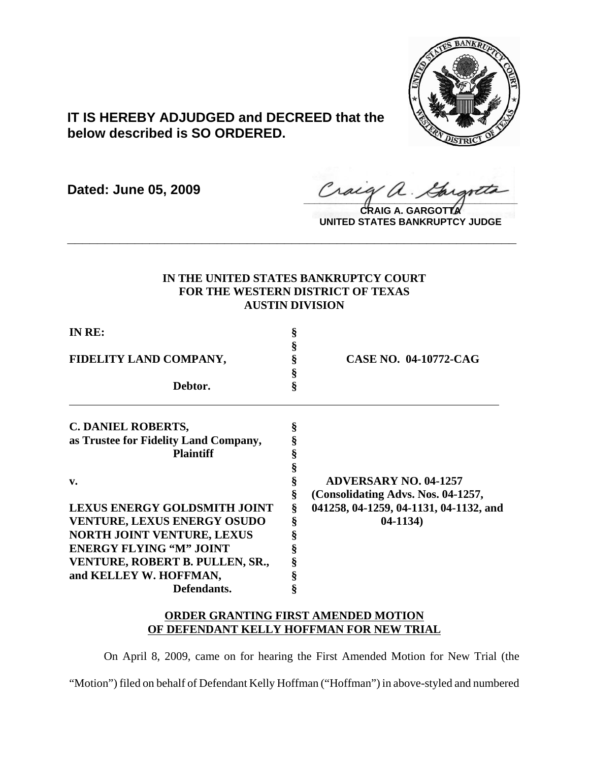

# **IT IS HEREBY ADJUDGED and DECREED that the below described is SO ORDERED.**

**Dated: June 05, 2009**

Craeg a. Gargott

**CRAIG A. GARGOTTA UNITED STATES BANKRUPTCY JUDGE**

## **IN THE UNITED STATES BANKRUPTCY COURT FOR THE WESTERN DISTRICT OF TEXAS AUSTIN DIVISION**

**\_\_\_\_\_\_\_\_\_\_\_\_\_\_\_\_\_\_\_\_\_\_\_\_\_\_\_\_\_\_\_\_\_\_\_\_\_\_\_\_\_\_\_\_\_\_\_\_\_\_\_\_\_\_\_\_\_\_\_\_**

| IN RE:<br>FIDELITY LAND COMPANY,<br>Debtor. |                  |                                        |                                       |   |  |
|---------------------------------------------|------------------|----------------------------------------|---------------------------------------|---|--|
|                                             | 8<br>ş<br>§<br>ş | <b>CASE NO. 04-10772-CAG</b>           |                                       |   |  |
|                                             |                  |                                        | <b>C. DANIEL ROBERTS,</b>             | § |  |
|                                             |                  |                                        | as Trustee for Fidelity Land Company, |   |  |
|                                             |                  |                                        | <b>Plaintiff</b>                      |   |  |
|                                             |                  |                                        |                                       |   |  |
| v.                                          | ş                | <b>ADVERSARY NO. 04-1257</b>           |                                       |   |  |
|                                             | ş                | (Consolidating Advs. Nos. 04-1257,     |                                       |   |  |
| <b>LEXUS ENERGY GOLDSMITH JOINT</b>         | ş                | 041258, 04-1259, 04-1131, 04-1132, and |                                       |   |  |
| <b>VENTURE, LEXUS ENERGY OSUDO</b>          | ş                | $04-1134)$                             |                                       |   |  |
| NORTH JOINT VENTURE, LEXUS                  | ş                |                                        |                                       |   |  |
| <b>ENERGY FLYING "M" JOINT</b>              |                  |                                        |                                       |   |  |
| VENTURE, ROBERT B. PULLEN, SR.,             |                  |                                        |                                       |   |  |
| and KELLEY W. HOFFMAN,                      |                  |                                        |                                       |   |  |
| Defendants.                                 | ş                |                                        |                                       |   |  |

### **ORDER GRANTING FIRST AMENDED MOTION OF DEFENDANT KELLY HOFFMAN FOR NEW TRIAL**

On April 8, 2009, came on for hearing the First Amended Motion for New Trial (the "Motion") filed on behalf of Defendant Kelly Hoffman ("Hoffman") in above-styled and numbered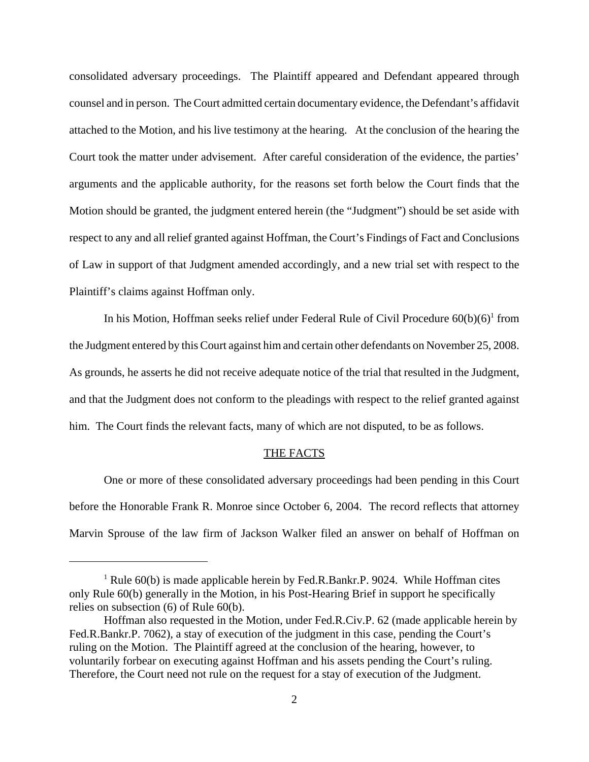consolidated adversary proceedings. The Plaintiff appeared and Defendant appeared through counsel and in person. The Court admitted certain documentary evidence, the Defendant's affidavit attached to the Motion, and his live testimony at the hearing. At the conclusion of the hearing the Court took the matter under advisement. After careful consideration of the evidence, the parties' arguments and the applicable authority, for the reasons set forth below the Court finds that the Motion should be granted, the judgment entered herein (the "Judgment") should be set aside with respect to any and all relief granted against Hoffman, the Court's Findings of Fact and Conclusions of Law in support of that Judgment amended accordingly, and a new trial set with respect to the Plaintiff's claims against Hoffman only.

In his Motion, Hoffman seeks relief under Federal Rule of Civil Procedure  $60(b)(6)^1$  from the Judgment entered by this Court against him and certain other defendants on November 25, 2008. As grounds, he asserts he did not receive adequate notice of the trial that resulted in the Judgment, and that the Judgment does not conform to the pleadings with respect to the relief granted against him. The Court finds the relevant facts, many of which are not disputed, to be as follows.

#### THE FACTS

One or more of these consolidated adversary proceedings had been pending in this Court before the Honorable Frank R. Monroe since October 6, 2004. The record reflects that attorney Marvin Sprouse of the law firm of Jackson Walker filed an answer on behalf of Hoffman on

<sup>&</sup>lt;sup>1</sup> Rule 60(b) is made applicable herein by Fed.R.Bankr.P. 9024. While Hoffman cites only Rule 60(b) generally in the Motion, in his Post-Hearing Brief in support he specifically relies on subsection (6) of Rule 60(b).

Hoffman also requested in the Motion, under Fed.R.Civ.P. 62 (made applicable herein by Fed.R.Bankr.P. 7062), a stay of execution of the judgment in this case, pending the Court's ruling on the Motion. The Plaintiff agreed at the conclusion of the hearing, however, to voluntarily forbear on executing against Hoffman and his assets pending the Court's ruling. Therefore, the Court need not rule on the request for a stay of execution of the Judgment.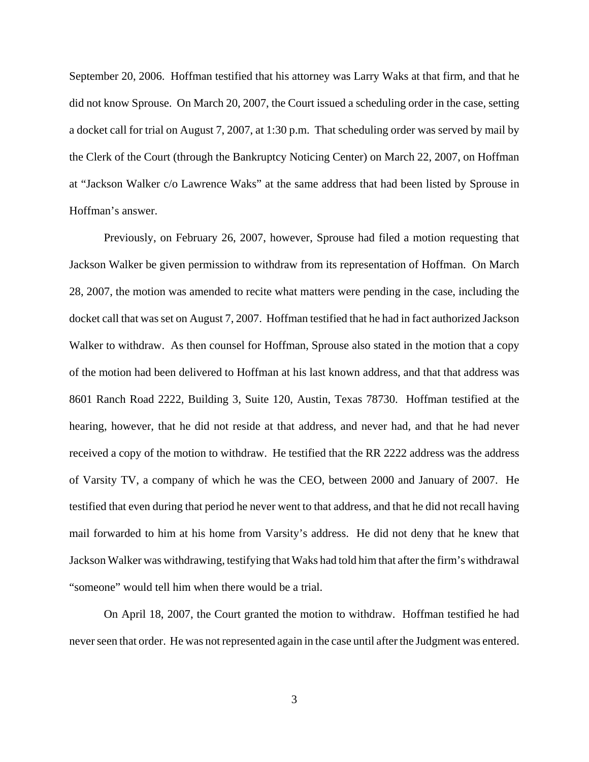September 20, 2006. Hoffman testified that his attorney was Larry Waks at that firm, and that he did not know Sprouse. On March 20, 2007, the Court issued a scheduling order in the case, setting a docket call for trial on August 7, 2007, at 1:30 p.m. That scheduling order was served by mail by the Clerk of the Court (through the Bankruptcy Noticing Center) on March 22, 2007, on Hoffman at "Jackson Walker c/o Lawrence Waks" at the same address that had been listed by Sprouse in Hoffman's answer.

Previously, on February 26, 2007, however, Sprouse had filed a motion requesting that Jackson Walker be given permission to withdraw from its representation of Hoffman. On March 28, 2007, the motion was amended to recite what matters were pending in the case, including the docket call that was set on August 7, 2007. Hoffman testified that he had in fact authorized Jackson Walker to withdraw. As then counsel for Hoffman, Sprouse also stated in the motion that a copy of the motion had been delivered to Hoffman at his last known address, and that that address was 8601 Ranch Road 2222, Building 3, Suite 120, Austin, Texas 78730. Hoffman testified at the hearing, however, that he did not reside at that address, and never had, and that he had never received a copy of the motion to withdraw. He testified that the RR 2222 address was the address of Varsity TV, a company of which he was the CEO, between 2000 and January of 2007. He testified that even during that period he never went to that address, and that he did not recall having mail forwarded to him at his home from Varsity's address. He did not deny that he knew that Jackson Walker was withdrawing, testifying that Waks had told him that after the firm's withdrawal "someone" would tell him when there would be a trial.

On April 18, 2007, the Court granted the motion to withdraw. Hoffman testified he had never seen that order. He was not represented again in the case until after the Judgment was entered.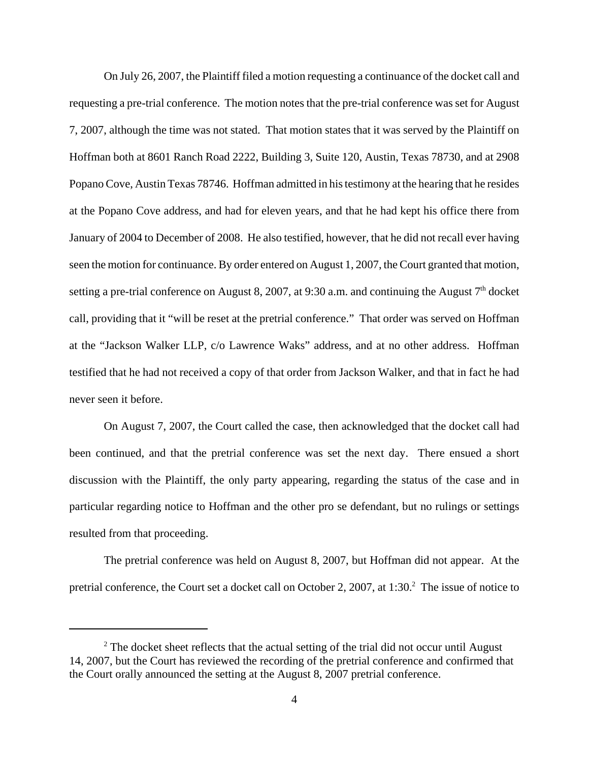On July 26, 2007, the Plaintiff filed a motion requesting a continuance of the docket call and requesting a pre-trial conference. The motion notes that the pre-trial conference was set for August 7, 2007, although the time was not stated. That motion states that it was served by the Plaintiff on Hoffman both at 8601 Ranch Road 2222, Building 3, Suite 120, Austin, Texas 78730, and at 2908 Popano Cove, Austin Texas 78746. Hoffman admitted in his testimony at the hearing that he resides at the Popano Cove address, and had for eleven years, and that he had kept his office there from January of 2004 to December of 2008. He also testified, however, that he did not recall ever having seen the motion for continuance. By order entered on August 1, 2007, the Court granted that motion, setting a pre-trial conference on August 8, 2007, at 9:30 a.m. and continuing the August  $7<sup>th</sup>$  docket call, providing that it "will be reset at the pretrial conference." That order was served on Hoffman at the "Jackson Walker LLP, c/o Lawrence Waks" address, and at no other address. Hoffman testified that he had not received a copy of that order from Jackson Walker, and that in fact he had never seen it before.

On August 7, 2007, the Court called the case, then acknowledged that the docket call had been continued, and that the pretrial conference was set the next day. There ensued a short discussion with the Plaintiff, the only party appearing, regarding the status of the case and in particular regarding notice to Hoffman and the other pro se defendant, but no rulings or settings resulted from that proceeding.

The pretrial conference was held on August 8, 2007, but Hoffman did not appear. At the pretrial conference, the Court set a docket call on October 2, 2007, at 1:30.<sup>2</sup> The issue of notice to

 $2^2$  The docket sheet reflects that the actual setting of the trial did not occur until August 14, 2007, but the Court has reviewed the recording of the pretrial conference and confirmed that the Court orally announced the setting at the August 8, 2007 pretrial conference.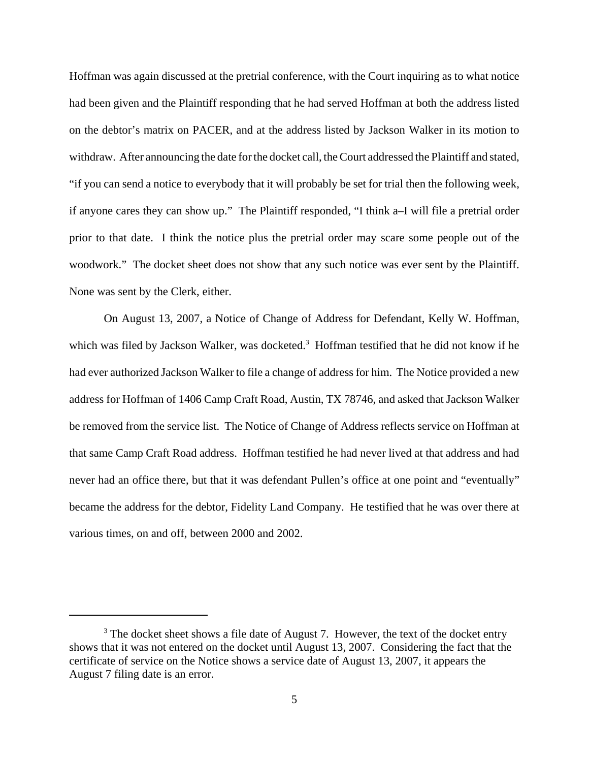Hoffman was again discussed at the pretrial conference, with the Court inquiring as to what notice had been given and the Plaintiff responding that he had served Hoffman at both the address listed on the debtor's matrix on PACER, and at the address listed by Jackson Walker in its motion to withdraw. After announcing the date for the docket call, the Court addressed the Plaintiff and stated, "if you can send a notice to everybody that it will probably be set for trial then the following week, if anyone cares they can show up." The Plaintiff responded, "I think a–I will file a pretrial order prior to that date. I think the notice plus the pretrial order may scare some people out of the woodwork." The docket sheet does not show that any such notice was ever sent by the Plaintiff. None was sent by the Clerk, either.

On August 13, 2007, a Notice of Change of Address for Defendant, Kelly W. Hoffman, which was filed by Jackson Walker, was docketed.<sup>3</sup> Hoffman testified that he did not know if he had ever authorized Jackson Walker to file a change of address for him. The Notice provided a new address for Hoffman of 1406 Camp Craft Road, Austin, TX 78746, and asked that Jackson Walker be removed from the service list. The Notice of Change of Address reflects service on Hoffman at that same Camp Craft Road address. Hoffman testified he had never lived at that address and had never had an office there, but that it was defendant Pullen's office at one point and "eventually" became the address for the debtor, Fidelity Land Company. He testified that he was over there at various times, on and off, between 2000 and 2002.

 $3$  The docket shows a file date of August 7. However, the text of the docket entry shows that it was not entered on the docket until August 13, 2007. Considering the fact that the certificate of service on the Notice shows a service date of August 13, 2007, it appears the August 7 filing date is an error.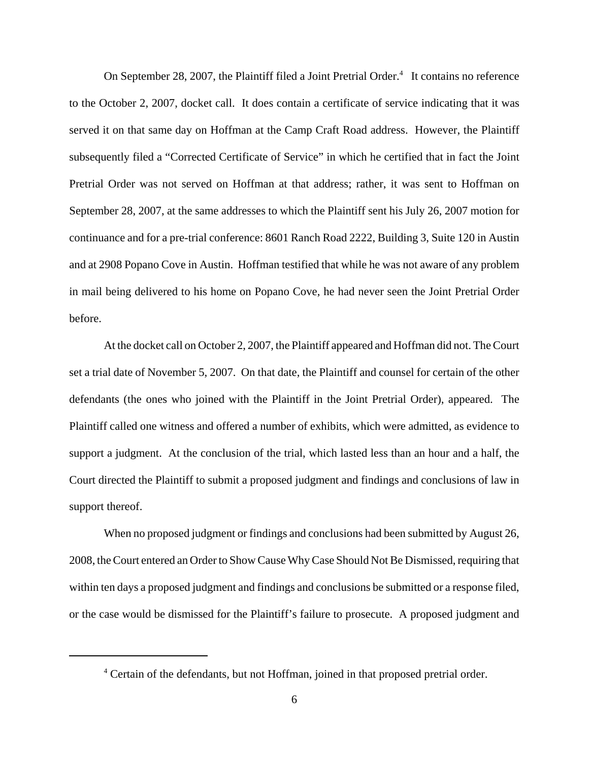On September 28, 2007, the Plaintiff filed a Joint Pretrial Order.<sup>4</sup> It contains no reference to the October 2, 2007, docket call. It does contain a certificate of service indicating that it was served it on that same day on Hoffman at the Camp Craft Road address. However, the Plaintiff subsequently filed a "Corrected Certificate of Service" in which he certified that in fact the Joint Pretrial Order was not served on Hoffman at that address; rather, it was sent to Hoffman on September 28, 2007, at the same addresses to which the Plaintiff sent his July 26, 2007 motion for continuance and for a pre-trial conference: 8601 Ranch Road 2222, Building 3, Suite 120 in Austin and at 2908 Popano Cove in Austin. Hoffman testified that while he was not aware of any problem in mail being delivered to his home on Popano Cove, he had never seen the Joint Pretrial Order before.

At the docket call on October 2, 2007, the Plaintiff appeared and Hoffman did not. The Court set a trial date of November 5, 2007. On that date, the Plaintiff and counsel for certain of the other defendants (the ones who joined with the Plaintiff in the Joint Pretrial Order), appeared. The Plaintiff called one witness and offered a number of exhibits, which were admitted, as evidence to support a judgment. At the conclusion of the trial, which lasted less than an hour and a half, the Court directed the Plaintiff to submit a proposed judgment and findings and conclusions of law in support thereof.

When no proposed judgment or findings and conclusions had been submitted by August 26, 2008, the Court entered an Order to Show Cause Why Case Should Not Be Dismissed, requiring that within ten days a proposed judgment and findings and conclusions be submitted or a response filed, or the case would be dismissed for the Plaintiff's failure to prosecute. A proposed judgment and

<sup>&</sup>lt;sup>4</sup> Certain of the defendants, but not Hoffman, joined in that proposed pretrial order.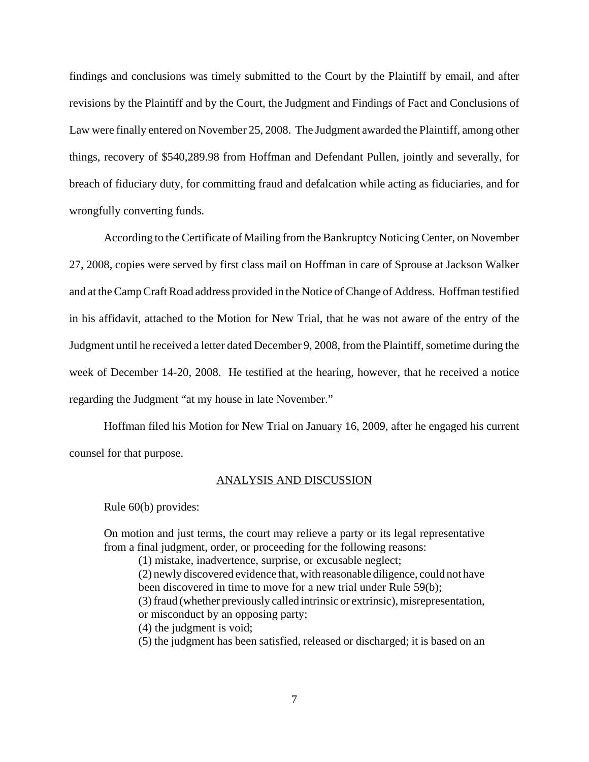findings and conclusions was timely submitted to the Court by the Plaintiff by email, and after revisions by the Plaintiff and by the Court, the Judgment and Findings of Fact and Conclusions of Law were finally entered on November 25, 2008. The Judgment awarded the Plaintiff, among other things, recovery of \$540,289.98 from Hoffman and Defendant Pullen, jointly and severally, for breach of fiduciary duty, for committing fraud and defalcation while acting as fiduciaries, and for wrongfully converting funds.

According to the Certificate of Mailing from the Bankruptcy Noticing Center, on November 27, 2008, copies were served by first class mail on Hoffman in care of Sprouse at Jackson Walker and at the Camp Craft Road address provided in the Notice of Change of Address. Hoffman testified in his affidavit, attached to the Motion for New Trial, that he was not aware of the entry of the Judgment until he received a letter dated December 9, 2008, from the Plaintiff, sometime during the week of December 14-20, 2008. He testified at the hearing, however, that he received a notice regarding the Judgment "at my house in late November."

Hoffman filed his Motion for New Trial on January 16, 2009, after he engaged his current counsel for that purpose.

#### ANALYSIS AND DISCUSSION

### Rule 60(b) provides:

On motion and just terms, the court may relieve a party or its legal representative from a final judgment, order, or proceeding for the following reasons:

(1) mistake, inadvertence, surprise, or excusable neglect; (2) newly discovered evidence that, with reasonable diligence, could not have been discovered in time to move for a new trial under Rule 59(b); (3) fraud (whether previously called intrinsic or extrinsic), misrepresentation, or misconduct by an opposing party; (4) the judgment is void; (5) the judgment has been satisfied, released or discharged; it is based on an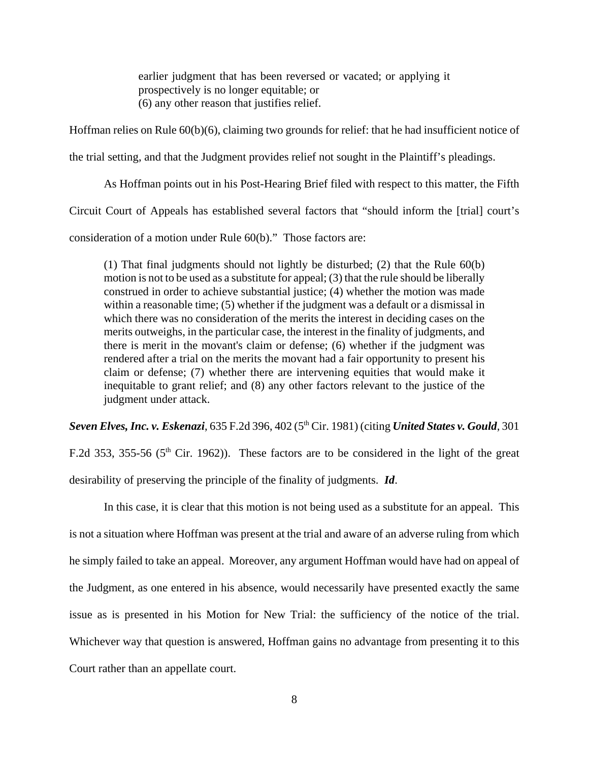earlier judgment that has been reversed or vacated; or applying it prospectively is no longer equitable; or (6) any other reason that justifies relief.

Hoffman relies on Rule 60(b)(6), claiming two grounds for relief: that he had insufficient notice of

the trial setting, and that the Judgment provides relief not sought in the Plaintiff's pleadings.

As Hoffman points out in his Post-Hearing Brief filed with respect to this matter, the Fifth

Circuit Court of Appeals has established several factors that "should inform the [trial] court's

consideration of a motion under Rule 60(b)." Those factors are:

(1) That final judgments should not lightly be disturbed; (2) that the Rule 60(b) motion is not to be used as a substitute for appeal; (3) that the rule should be liberally construed in order to achieve substantial justice; (4) whether the motion was made within a reasonable time; (5) whether if the judgment was a default or a dismissal in which there was no consideration of the merits the interest in deciding cases on the merits outweighs, in the particular case, the interest in the finality of judgments, and there is merit in the movant's claim or defense; (6) whether if the judgment was rendered after a trial on the merits the movant had a fair opportunity to present his claim or defense; (7) whether there are intervening equities that would make it inequitable to grant relief; and (8) any other factors relevant to the justice of the judgment under attack.

*Seven Elves, Inc. v. Eskenazi, 635 F.2d 396, 402 (5<sup>th</sup> Cir. 1981) (citing <i>United States v. Gould, 301* F.2d 353, 355-56 ( $5<sup>th</sup>$  Cir. 1962)). These factors are to be considered in the light of the great desirability of preserving the principle of the finality of judgments. *Id*.

In this case, it is clear that this motion is not being used as a substitute for an appeal. This is not a situation where Hoffman was present at the trial and aware of an adverse ruling from which he simply failed to take an appeal. Moreover, any argument Hoffman would have had on appeal of the Judgment, as one entered in his absence, would necessarily have presented exactly the same issue as is presented in his Motion for New Trial: the sufficiency of the notice of the trial. Whichever way that question is answered, Hoffman gains no advantage from presenting it to this Court rather than an appellate court.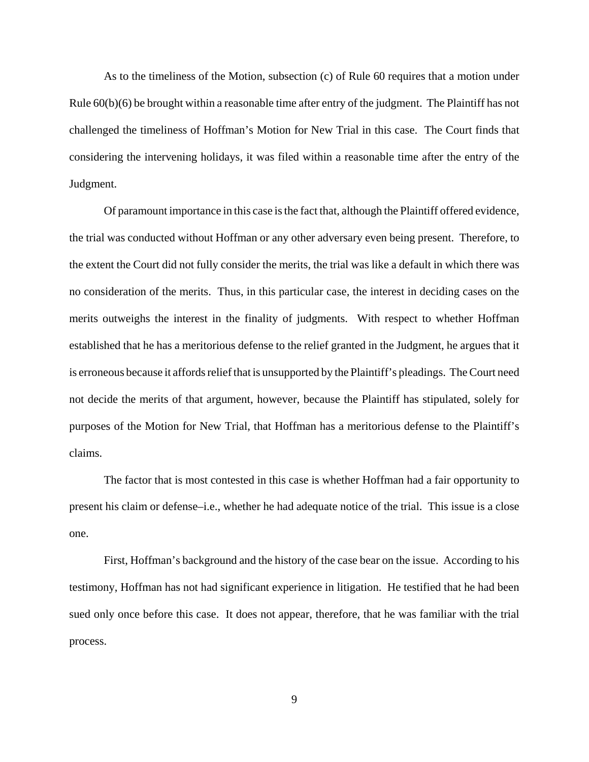As to the timeliness of the Motion, subsection (c) of Rule 60 requires that a motion under Rule 60(b)(6) be brought within a reasonable time after entry of the judgment. The Plaintiff has not challenged the timeliness of Hoffman's Motion for New Trial in this case. The Court finds that considering the intervening holidays, it was filed within a reasonable time after the entry of the Judgment.

Of paramount importance in this case is the fact that, although the Plaintiff offered evidence, the trial was conducted without Hoffman or any other adversary even being present. Therefore, to the extent the Court did not fully consider the merits, the trial was like a default in which there was no consideration of the merits. Thus, in this particular case, the interest in deciding cases on the merits outweighs the interest in the finality of judgments. With respect to whether Hoffman established that he has a meritorious defense to the relief granted in the Judgment, he argues that it is erroneous because it affords relief that is unsupported by the Plaintiff's pleadings. The Court need not decide the merits of that argument, however, because the Plaintiff has stipulated, solely for purposes of the Motion for New Trial, that Hoffman has a meritorious defense to the Plaintiff's claims.

The factor that is most contested in this case is whether Hoffman had a fair opportunity to present his claim or defense–i.e., whether he had adequate notice of the trial. This issue is a close one.

First, Hoffman's background and the history of the case bear on the issue. According to his testimony, Hoffman has not had significant experience in litigation. He testified that he had been sued only once before this case. It does not appear, therefore, that he was familiar with the trial process.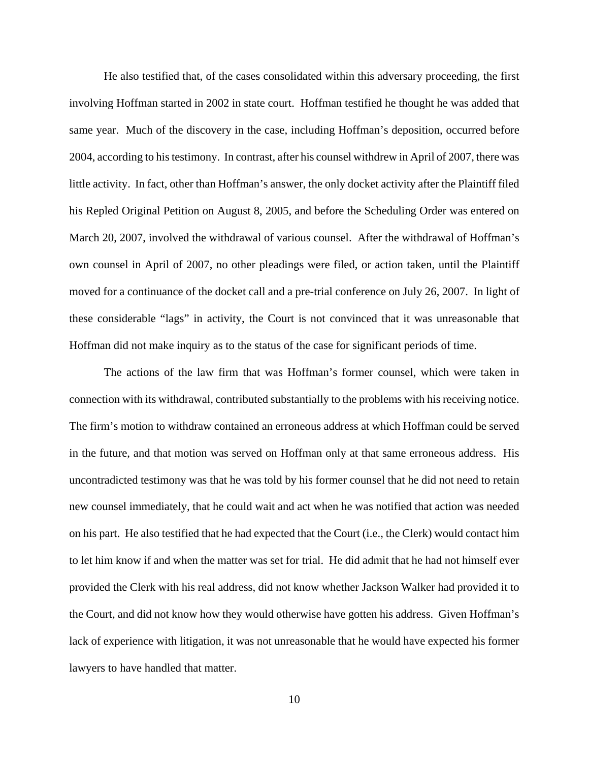He also testified that, of the cases consolidated within this adversary proceeding, the first involving Hoffman started in 2002 in state court. Hoffman testified he thought he was added that same year. Much of the discovery in the case, including Hoffman's deposition, occurred before 2004, according to his testimony. In contrast, after his counsel withdrew in April of 2007, there was little activity. In fact, other than Hoffman's answer, the only docket activity after the Plaintiff filed his Repled Original Petition on August 8, 2005, and before the Scheduling Order was entered on March 20, 2007, involved the withdrawal of various counsel. After the withdrawal of Hoffman's own counsel in April of 2007, no other pleadings were filed, or action taken, until the Plaintiff moved for a continuance of the docket call and a pre-trial conference on July 26, 2007. In light of these considerable "lags" in activity, the Court is not convinced that it was unreasonable that Hoffman did not make inquiry as to the status of the case for significant periods of time.

The actions of the law firm that was Hoffman's former counsel, which were taken in connection with its withdrawal, contributed substantially to the problems with his receiving notice. The firm's motion to withdraw contained an erroneous address at which Hoffman could be served in the future, and that motion was served on Hoffman only at that same erroneous address. His uncontradicted testimony was that he was told by his former counsel that he did not need to retain new counsel immediately, that he could wait and act when he was notified that action was needed on his part. He also testified that he had expected that the Court (i.e., the Clerk) would contact him to let him know if and when the matter was set for trial. He did admit that he had not himself ever provided the Clerk with his real address, did not know whether Jackson Walker had provided it to the Court, and did not know how they would otherwise have gotten his address. Given Hoffman's lack of experience with litigation, it was not unreasonable that he would have expected his former lawyers to have handled that matter.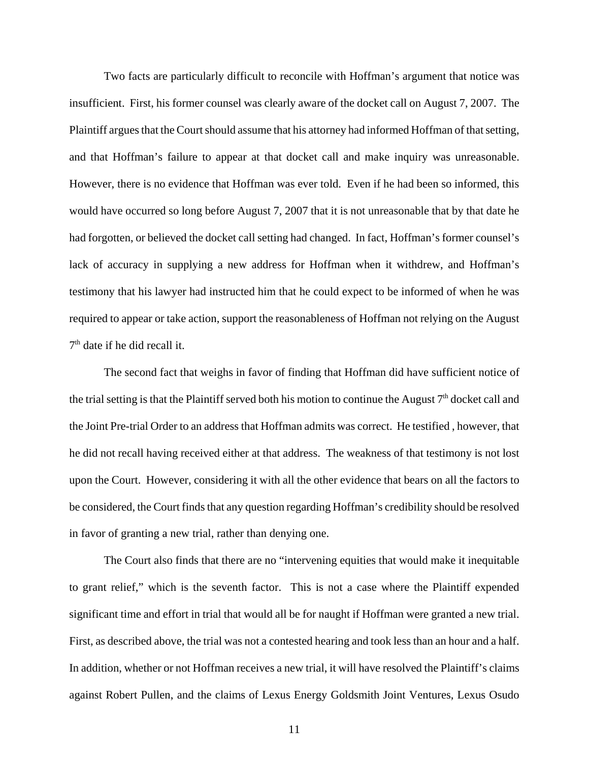Two facts are particularly difficult to reconcile with Hoffman's argument that notice was insufficient. First, his former counsel was clearly aware of the docket call on August 7, 2007. The Plaintiff argues that the Court should assume that his attorney had informed Hoffman of that setting, and that Hoffman's failure to appear at that docket call and make inquiry was unreasonable. However, there is no evidence that Hoffman was ever told. Even if he had been so informed, this would have occurred so long before August 7, 2007 that it is not unreasonable that by that date he had forgotten, or believed the docket call setting had changed. In fact, Hoffman's former counsel's lack of accuracy in supplying a new address for Hoffman when it withdrew, and Hoffman's testimony that his lawyer had instructed him that he could expect to be informed of when he was required to appear or take action, support the reasonableness of Hoffman not relying on the August  $7<sup>th</sup>$  date if he did recall it.

The second fact that weighs in favor of finding that Hoffman did have sufficient notice of the trial setting is that the Plaintiff served both his motion to continue the August 7<sup>th</sup> docket call and the Joint Pre-trial Order to an address that Hoffman admits was correct. He testified , however, that he did not recall having received either at that address. The weakness of that testimony is not lost upon the Court. However, considering it with all the other evidence that bears on all the factors to be considered, the Court finds that any question regarding Hoffman's credibility should be resolved in favor of granting a new trial, rather than denying one.

The Court also finds that there are no "intervening equities that would make it inequitable to grant relief," which is the seventh factor. This is not a case where the Plaintiff expended significant time and effort in trial that would all be for naught if Hoffman were granted a new trial. First, as described above, the trial was not a contested hearing and took less than an hour and a half. In addition, whether or not Hoffman receives a new trial, it will have resolved the Plaintiff's claims against Robert Pullen, and the claims of Lexus Energy Goldsmith Joint Ventures, Lexus Osudo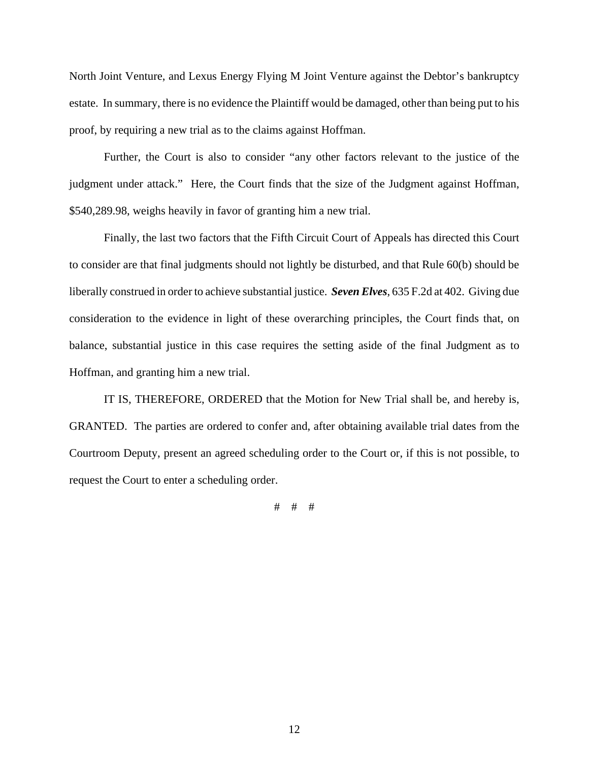North Joint Venture, and Lexus Energy Flying M Joint Venture against the Debtor's bankruptcy estate. In summary, there is no evidence the Plaintiff would be damaged, other than being put to his proof, by requiring a new trial as to the claims against Hoffman.

Further, the Court is also to consider "any other factors relevant to the justice of the judgment under attack." Here, the Court finds that the size of the Judgment against Hoffman, \$540,289.98, weighs heavily in favor of granting him a new trial.

Finally, the last two factors that the Fifth Circuit Court of Appeals has directed this Court to consider are that final judgments should not lightly be disturbed, and that Rule 60(b) should be liberally construed in order to achieve substantial justice. *Seven Elves*, 635 F.2d at 402. Giving due consideration to the evidence in light of these overarching principles, the Court finds that, on balance, substantial justice in this case requires the setting aside of the final Judgment as to Hoffman, and granting him a new trial.

IT IS, THEREFORE, ORDERED that the Motion for New Trial shall be, and hereby is, GRANTED. The parties are ordered to confer and, after obtaining available trial dates from the Courtroom Deputy, present an agreed scheduling order to the Court or, if this is not possible, to request the Court to enter a scheduling order.

# # #